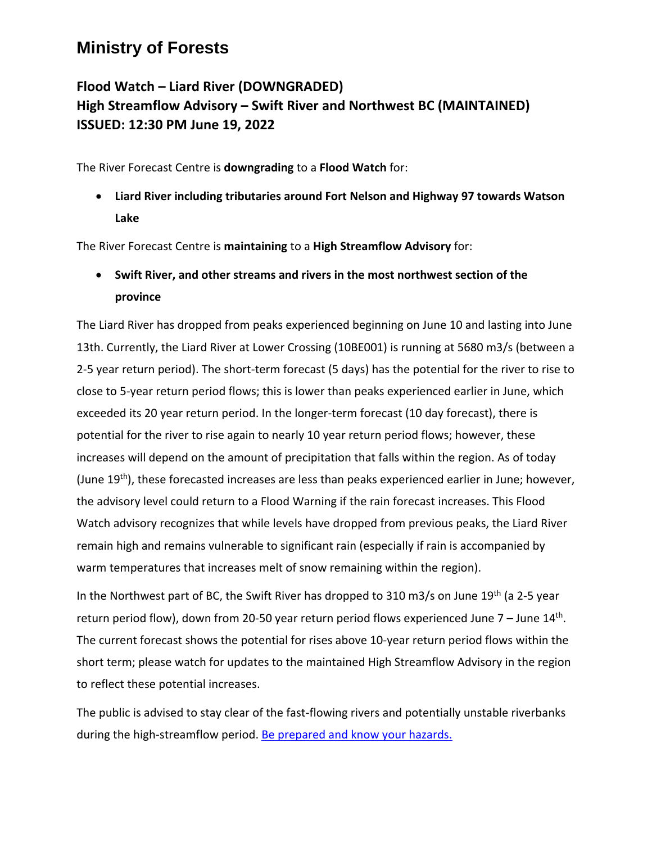## **Ministry of Forests**

## **Flood Watch – Liard River (DOWNGRADED) High Streamflow Advisory – Swift River and Northwest BC (MAINTAINED) ISSUED: 12:30 PM June 19, 2022**

The River Forecast Centre is **downgrading** to a **Flood Watch** for:

• **Liard River including tributaries around Fort Nelson and Highway 97 towards Watson Lake**

The River Forecast Centre is **maintaining** to a **High Streamflow Advisory** for:

• **Swift River, and other streams and rivers in the most northwest section of the province**

The Liard River has dropped from peaks experienced beginning on June 10 and lasting into June 13th. Currently, the Liard River at Lower Crossing (10BE001) is running at 5680 m3/s (between a 2-5 year return period). The short-term forecast (5 days) has the potential for the river to rise to close to 5-year return period flows; this is lower than peaks experienced earlier in June, which exceeded its 20 year return period. In the longer-term forecast (10 day forecast), there is potential for the river to rise again to nearly 10 year return period flows; however, these increases will depend on the amount of precipitation that falls within the region. As of today (June 19th), these forecasted increases are less than peaks experienced earlier in June; however, the advisory level could return to a Flood Warning if the rain forecast increases. This Flood Watch advisory recognizes that while levels have dropped from previous peaks, the Liard River remain high and remains vulnerable to significant rain (especially if rain is accompanied by warm temperatures that increases melt of snow remaining within the region).

In the Northwest part of BC, the Swift River has dropped to 310 m3/s on June 19<sup>th</sup> (a 2-5 year return period flow), down from 20-50 year return period flows experienced June  $7$  – June  $14<sup>th</sup>$ . The current forecast shows the potential for rises above 10-year return period flows within the short term; please watch for updates to the maintained High Streamflow Advisory in the region to reflect these potential increases.

The public is advised to stay clear of the fast-flowing rivers and potentially unstable riverbanks during the high-streamflow period[. Be prepared and know your hazards.](https://www2.gov.bc.ca/gov/content/safety/emergency-management/preparedbc/know-your-hazards/floods)